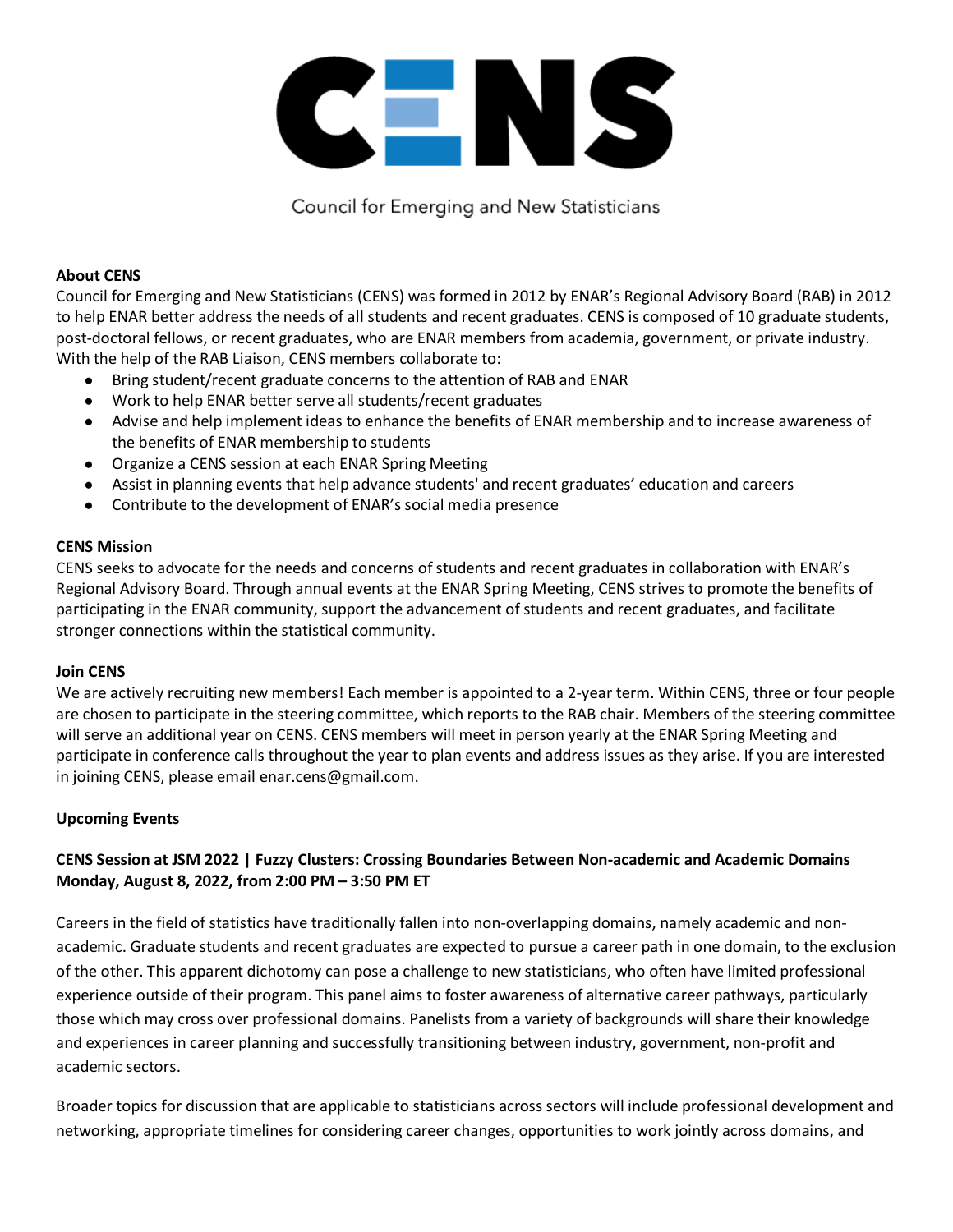

Council for Emerging and New Statisticians

### **About CENS**

Council for Emerging and New Statisticians (CENS) was formed in 2012 by ENAR's Regional Advisory Board (RAB) in 2012 to help ENAR better address the needs of all students and recent graduates. CENS is composed of 10 graduate students, post-doctoral fellows, or recent graduates, who are ENAR members from academia, government, or private industry. With the help of the RAB Liaison, CENS members collaborate to:

- Bring student/recent graduate concerns to the attention of RAB and ENAR
- Work to help ENAR better serve all students/recent graduates
- Advise and help implement ideas to enhance the benefits of ENAR membership and to increase awareness of the benefits of ENAR membership to students
- Organize a CENS session at each ENAR Spring Meeting
- Assist in planning events that help advance students' and recent graduates' education and careers
- Contribute to the development of ENAR's social media presence

## **CENS Mission**

CENS seeks to advocate for the needs and concerns of students and recent graduates in collaboration with ENAR's Regional Advisory Board. Through annual events at the ENAR Spring Meeting, CENS strives to promote the benefits of participating in the ENAR community, support the advancement of students and recent graduates, and facilitate stronger connections within the statistical community.

### **Join CENS**

We are actively recruiting new members! Each member is appointed to a 2-year term. Within CENS, three or four people are chosen to participate in the steering committee, which reports to the RAB chair. Members of the steering committee will serve an additional year on CENS. CENS members will meet in person yearly at the ENAR Spring Meeting and participate in conference calls throughout the year to plan events and address issues as they arise. If you are interested in joining CENS, please email enar.cens@gmail.com.

### **Upcoming Events**

# **CENS Session at JSM 2022 | Fuzzy Clusters: Crossing Boundaries Between Non-academic and Academic Domains Monday, August 8, 2022, from 2:00 PM – 3:50 PM ET**

Careers in the field of statistics have traditionally fallen into non-overlapping domains, namely academic and nonacademic. Graduate students and recent graduates are expected to pursue a career path in one domain, to the exclusion of the other. This apparent dichotomy can pose a challenge to new statisticians, who often have limited professional experience outside of their program. This panel aims to foster awareness of alternative career pathways, particularly those which may cross over professional domains. Panelists from a variety of backgrounds will share their knowledge and experiences in career planning and successfully transitioning between industry, government, non-profit and academic sectors.

Broader topics for discussion that are applicable to statisticians across sectors will include professional development and networking, appropriate timelines for considering career changes, opportunities to work jointly across domains, and